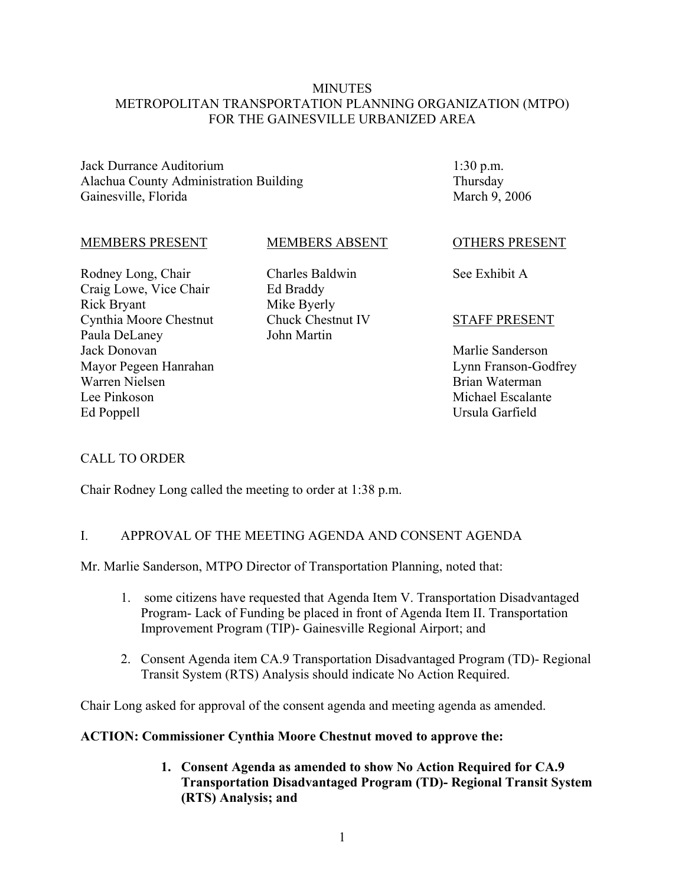### **MINUTES** METROPOLITAN TRANSPORTATION PLANNING ORGANIZATION (MTPO) FOR THE GAINESVILLE URBANIZED AREA

Jack Durrance Auditorium Alachua County Administration Building Gainesville, Florida

1:30 p.m. Thursday March 9, 2006

#### MEMBERS PRESENT

Rodney Long, Chair Craig Lowe, Vice Chair Rick Bryant Cynthia Moore Chestnut Paula DeLaney Jack Donovan Mayor Pegeen Hanrahan Warren Nielsen Lee Pinkoson Ed Poppell

### MEMBERS ABSENT

Charles Baldwin Ed Braddy Mike Byerly Chuck Chestnut IV John Martin

#### OTHERS PRESENT

See Exhibit A

### STAFF PRESENT

Marlie Sanderson Lynn Franson-Godfrey Brian Waterman Michael Escalante Ursula Garfield

## CALL TO ORDER

Chair Rodney Long called the meeting to order at 1:38 p.m.

### I. APPROVAL OF THE MEETING AGENDA AND CONSENT AGENDA

Mr. Marlie Sanderson, MTPO Director of Transportation Planning, noted that:

- 1. some citizens have requested that Agenda Item V. Transportation Disadvantaged Program- Lack of Funding be placed in front of Agenda Item II. Transportation Improvement Program (TIP)- Gainesville Regional Airport; and
- 2. Consent Agenda item CA.9 Transportation Disadvantaged Program (TD)- Regional Transit System (RTS) Analysis should indicate No Action Required.

Chair Long asked for approval of the consent agenda and meeting agenda as amended.

### **ACTION: Commissioner Cynthia Moore Chestnut moved to approve the:**

**1. Consent Agenda as amended to show No Action Required for CA.9 Transportation Disadvantaged Program (TD)- Regional Transit System (RTS) Analysis; and**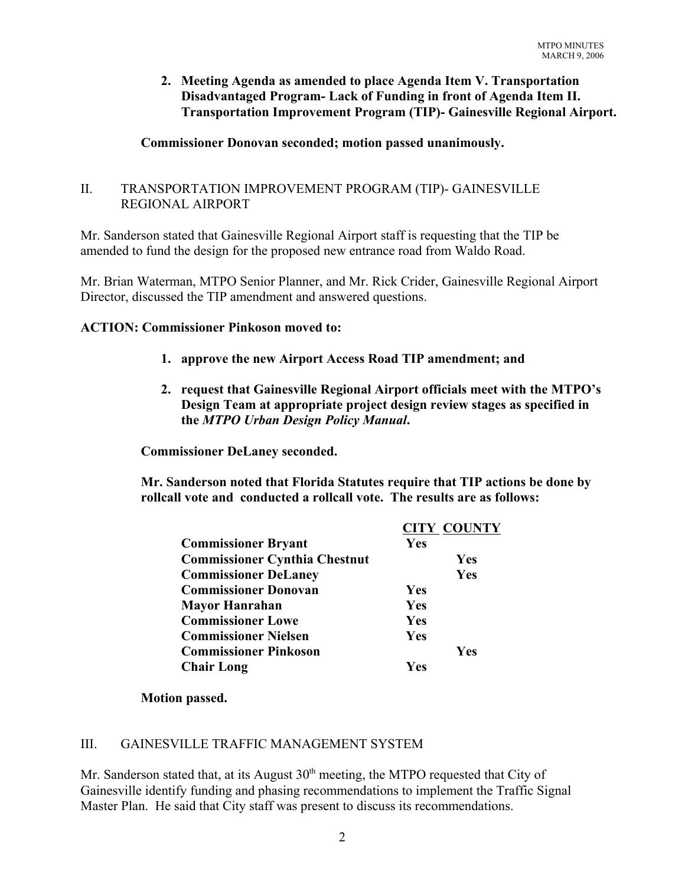## **2. Meeting Agenda as amended to place Agenda Item V. Transportation Disadvantaged Program- Lack of Funding in front of Agenda Item II. Transportation Improvement Program (TIP)- Gainesville Regional Airport.**

## **Commissioner Donovan seconded; motion passed unanimously.**

## II. TRANSPORTATION IMPROVEMENT PROGRAM (TIP)- GAINESVILLE REGIONAL AIRPORT

Mr. Sanderson stated that Gainesville Regional Airport staff is requesting that the TIP be amended to fund the design for the proposed new entrance road from Waldo Road.

Mr. Brian Waterman, MTPO Senior Planner, and Mr. Rick Crider, Gainesville Regional Airport Director, discussed the TIP amendment and answered questions.

### **ACTION: Commissioner Pinkoson moved to:**

- **1. approve the new Airport Access Road TIP amendment; and**
- **2. request that Gainesville Regional Airport officials meet with the MTPO's Design Team at appropriate project design review stages as specified in the** *MTPO Urban Design Policy Manual***.**

**Commissioner DeLaney seconded.** 

**Mr. Sanderson noted that Florida Statutes require that TIP actions be done by rollcall vote and conducted a rollcall vote. The results are as follows:**

|                                      |            | <b>CITY COUNTY</b> |
|--------------------------------------|------------|--------------------|
| <b>Commissioner Bryant</b>           | Yes        |                    |
| <b>Commissioner Cynthia Chestnut</b> |            | Yes                |
| <b>Commissioner DeLaney</b>          |            | Yes                |
| <b>Commissioner Donovan</b>          | Yes        |                    |
| <b>Mayor Hanrahan</b>                | <b>Yes</b> |                    |
| <b>Commissioner Lowe</b>             | Yes        |                    |
| <b>Commissioner Nielsen</b>          | Yes        |                    |
| <b>Commissioner Pinkoson</b>         |            | <b>Yes</b>         |
| <b>Chair Long</b>                    | Ves        |                    |

### **Motion passed.**

## III. GAINESVILLE TRAFFIC MANAGEMENT SYSTEM

Mr. Sanderson stated that, at its August  $30<sup>th</sup>$  meeting, the MTPO requested that City of Gainesville identify funding and phasing recommendations to implement the Traffic Signal Master Plan. He said that City staff was present to discuss its recommendations.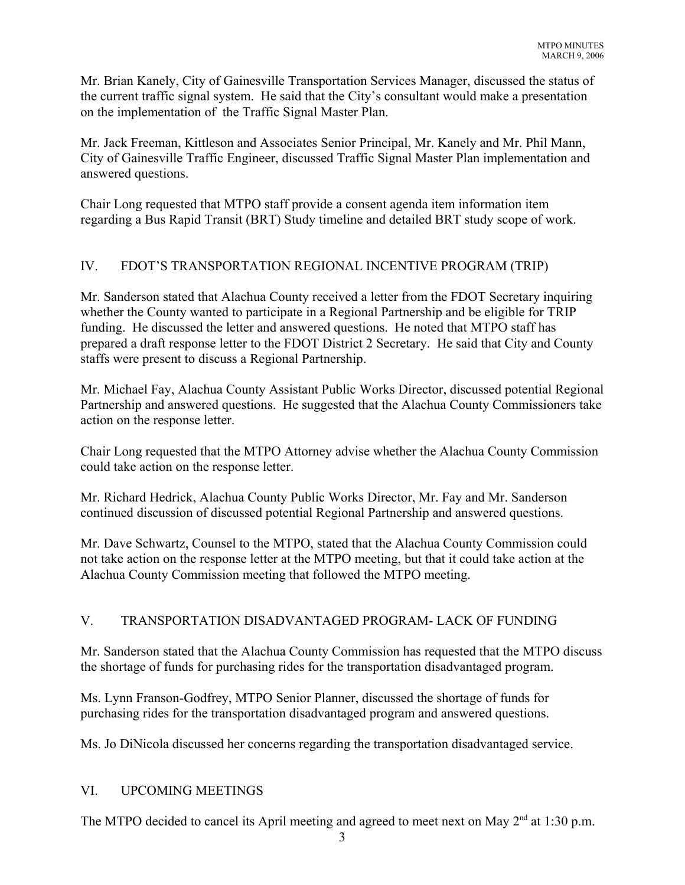Mr. Brian Kanely, City of Gainesville Transportation Services Manager, discussed the status of the current traffic signal system. He said that the City's consultant would make a presentation on the implementation of the Traffic Signal Master Plan.

Mr. Jack Freeman, Kittleson and Associates Senior Principal, Mr. Kanely and Mr. Phil Mann, City of Gainesville Traffic Engineer, discussed Traffic Signal Master Plan implementation and answered questions.

Chair Long requested that MTPO staff provide a consent agenda item information item regarding a Bus Rapid Transit (BRT) Study timeline and detailed BRT study scope of work.

## IV. FDOT'S TRANSPORTATION REGIONAL INCENTIVE PROGRAM (TRIP)

Mr. Sanderson stated that Alachua County received a letter from the FDOT Secretary inquiring whether the County wanted to participate in a Regional Partnership and be eligible for TRIP funding. He discussed the letter and answered questions. He noted that MTPO staff has prepared a draft response letter to the FDOT District 2 Secretary. He said that City and County staffs were present to discuss a Regional Partnership.

Mr. Michael Fay, Alachua County Assistant Public Works Director, discussed potential Regional Partnership and answered questions. He suggested that the Alachua County Commissioners take action on the response letter.

Chair Long requested that the MTPO Attorney advise whether the Alachua County Commission could take action on the response letter.

Mr. Richard Hedrick, Alachua County Public Works Director, Mr. Fay and Mr. Sanderson continued discussion of discussed potential Regional Partnership and answered questions.

Mr. Dave Schwartz, Counsel to the MTPO, stated that the Alachua County Commission could not take action on the response letter at the MTPO meeting, but that it could take action at the Alachua County Commission meeting that followed the MTPO meeting.

# V. TRANSPORTATION DISADVANTAGED PROGRAM- LACK OF FUNDING

Mr. Sanderson stated that the Alachua County Commission has requested that the MTPO discuss the shortage of funds for purchasing rides for the transportation disadvantaged program.

Ms. Lynn Franson-Godfrey, MTPO Senior Planner, discussed the shortage of funds for purchasing rides for the transportation disadvantaged program and answered questions.

Ms. Jo DiNicola discussed her concerns regarding the transportation disadvantaged service.

## VI. UPCOMING MEETINGS

The MTPO decided to cancel its April meeting and agreed to meet next on May  $2<sup>nd</sup>$  at 1:30 p.m.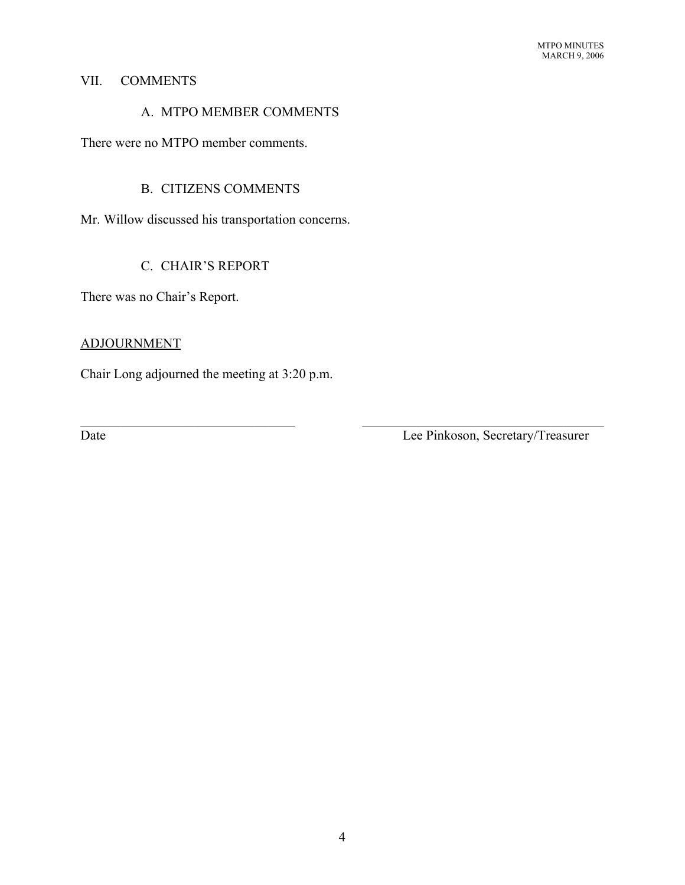### VII. COMMENTS

## A. MTPO MEMBER COMMENTS

There were no MTPO member comments.

## B. CITIZENS COMMENTS

Mr. Willow discussed his transportation concerns.

# C. CHAIR'S REPORT

There was no Chair's Report.

### ADJOURNMENT

Chair Long adjourned the meeting at 3:20 p.m.

Date Lee Pinkoson, Secretary/Treasurer

 $\mathcal{L}_\text{max}$  , and the contribution of the contribution of the contribution of the contribution of the contribution of the contribution of the contribution of the contribution of the contribution of the contribution of t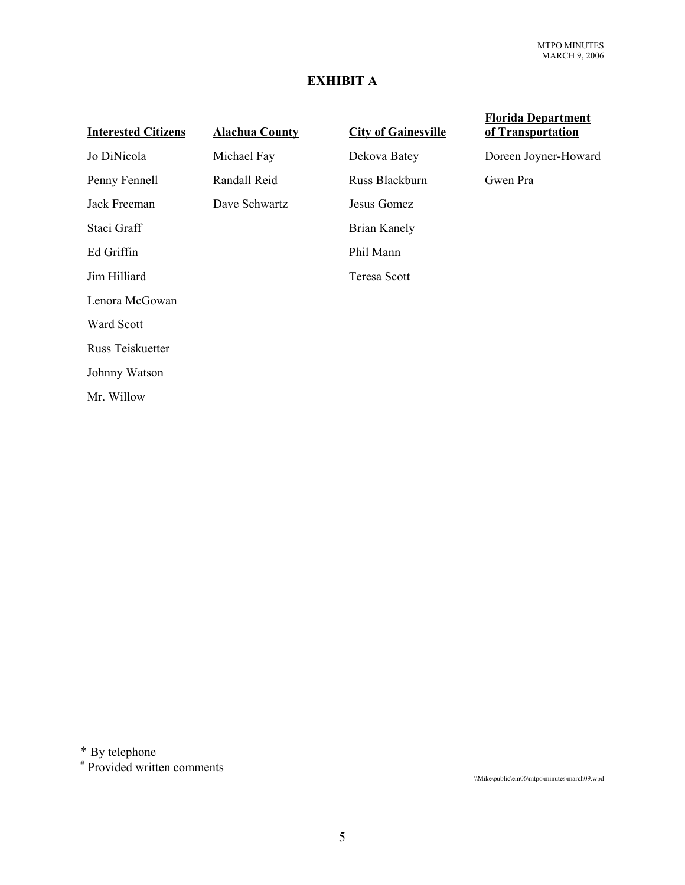# **EXHIBIT A**

| <b>Alachua County</b> | <b>City of Gainesville</b> | <b>Florida Department</b><br>of Transportation |
|-----------------------|----------------------------|------------------------------------------------|
| Michael Fay           | Dekova Batey               | Doreen Joyner-Howard                           |
| Randall Reid          | Russ Blackburn             | Gwen Pra                                       |
| Dave Schwartz         | Jesus Gomez                |                                                |
|                       | Brian Kanely               |                                                |
|                       | Phil Mann                  |                                                |
|                       | Teresa Scott               |                                                |
|                       |                            |                                                |
|                       |                            |                                                |
|                       |                            |                                                |
|                       |                            |                                                |
|                       |                            |                                                |
|                       |                            |                                                |

\* By telephone

# Provided written comments

\\Mike\public\em06\mtpo\minutes\march09.wpd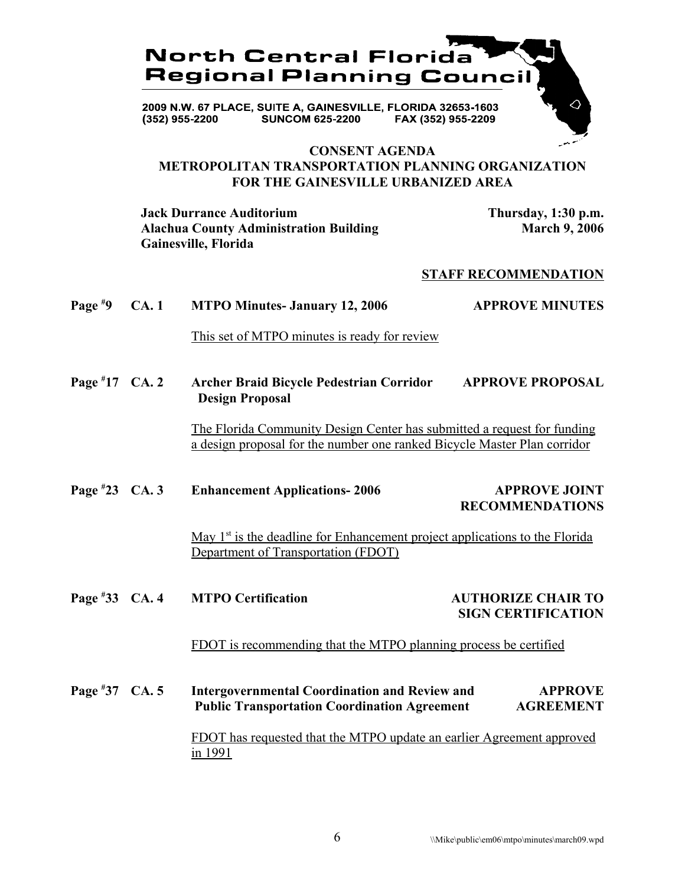

### **CONSENT AGENDA METROPOLITAN TRANSPORTATION PLANNING ORGANIZATION FOR THE GAINESVILLE URBANIZED AREA**

**Jack Durrance Auditorium Thursday, 1:30 p.m.** Alachua County Administration Building March 9, 2006 **Gainesville, Florida**

#### **STAFF RECOMMENDATION**

| Page $*9$        | CA.1 | <b>MTPO Minutes- January 12, 2006</b>                                                                                                               | <b>APPROVE MINUTES</b>                                 |
|------------------|------|-----------------------------------------------------------------------------------------------------------------------------------------------------|--------------------------------------------------------|
|                  |      | This set of MTPO minutes is ready for review                                                                                                        |                                                        |
| Page $*17$ CA. 2 |      | Archer Braid Bicycle Pedestrian Corridor<br><b>Design Proposal</b>                                                                                  | <b>APPROVE PROPOSAL</b>                                |
|                  |      | The Florida Community Design Center has submitted a request for funding<br>a design proposal for the number one ranked Bicycle Master Plan corridor |                                                        |
| Page $*23$ CA. 3 |      | <b>Enhancement Applications-2006</b>                                                                                                                | <b>APPROVE JOINT</b><br><b>RECOMMENDATIONS</b>         |
|                  |      | May $1st$ is the deadline for Enhancement project applications to the Florida<br>Department of Transportation (FDOT)                                |                                                        |
| Page #33 CA. 4   |      | <b>MTPO Certification</b>                                                                                                                           | <b>AUTHORIZE CHAIR TO</b><br><b>SIGN CERTIFICATION</b> |
|                  |      | FDOT is recommending that the MTPO planning process be certified                                                                                    |                                                        |
| Page #37 CA. 5   |      | <b>Intergovernmental Coordination and Review and</b><br><b>Public Transportation Coordination Agreement</b>                                         | <b>APPROVE</b><br><b>AGREEMENT</b>                     |
|                  |      | FDOT has requested that the MTPO update an earlier Agreement approved<br>in 1991                                                                    |                                                        |